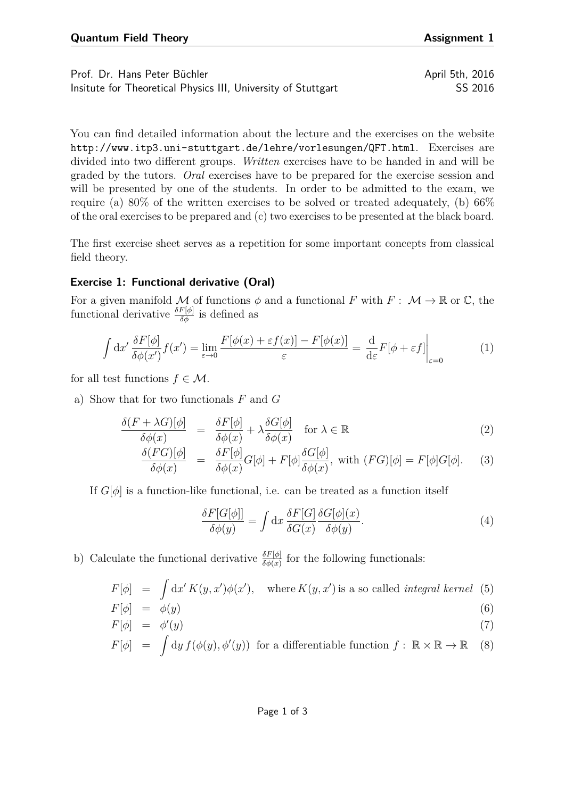Prof. Dr. Hans Peter Büchler April 5th, 2016 Insitute for Theoretical Physics III, University of Stuttgart SS 2016

You can find detailed information about the lecture and the exercises on the website <http://www.itp3.uni-stuttgart.de/lehre/vorlesungen/QFT.html>. Exercises are divided into two different groups. *Written* exercises have to be handed in and will be graded by the tutors. *Oral* exercises have to be prepared for the exercise session and will be presented by one of the students. In order to be admitted to the exam, we require (a)  $80\%$  of the written exercises to be solved or treated adequately, (b)  $66\%$ of the oral exercises to be prepared and (c) two exercises to be presented at the black board.

The first exercise sheet serves as a repetition for some important concepts from classical field theory.

## **Exercise 1: Functional derivative (Oral)**

For a given manifold M of functions  $\phi$  and a functional F with  $F: M \to \mathbb{R}$  or C, the functional derivative  $\frac{\delta F[\phi]}{\delta \phi}$  is defined as

$$
\int dx' \frac{\delta F[\phi]}{\delta \phi(x')} f(x') = \lim_{\varepsilon \to 0} \frac{F[\phi(x) + \varepsilon f(x)] - F[\phi(x)]}{\varepsilon} = \frac{\mathrm{d}}{\mathrm{d}\varepsilon} F[\phi + \varepsilon f] \Big|_{\varepsilon = 0} \tag{1}
$$

for all test functions  $f \in \mathcal{M}$ .

a) Show that for two functionals *F* and *G*

$$
\frac{\delta(F + \lambda G)[\phi]}{\delta \phi(x)} = \frac{\delta F[\phi]}{\delta \phi(x)} + \lambda \frac{\delta G[\phi]}{\delta \phi(x)} \quad \text{for } \lambda \in \mathbb{R}
$$
\n(2)

$$
\frac{\delta(FG)[\phi]}{\delta\phi(x)} = \frac{\delta F[\phi]}{\delta\phi(x)}G[\phi] + F[\phi]\frac{\delta G[\phi]}{\delta\phi(x)}, \text{ with } (FG)[\phi] = F[\phi]G[\phi]. \tag{3}
$$

If  $G[\phi]$  is a function-like functional, i.e. can be treated as a function itself

$$
\frac{\delta F[G[\phi]]}{\delta \phi(y)} = \int \mathrm{d}x \, \frac{\delta F[G]}{\delta G(x)} \frac{\delta G[\phi](x)}{\delta \phi(y)}.\tag{4}
$$

b) Calculate the functional derivative  $\frac{\delta F[\phi]}{\delta \phi(x)}$  for the following functionals:

$$
F[\phi] = \int dx' K(y, x')\phi(x'), \text{ where } K(y, x') \text{ is a so called integral kernel (5)
$$

$$
F[\phi] = \phi(y) \tag{6}
$$
  

$$
F[\phi] = \phi'(y) \tag{7}
$$

$$
F[\phi] = \int dy f(\phi(y), \phi'(y)) \text{ for a differentiable function } f: \mathbb{R} \times \mathbb{R} \to \mathbb{R}
$$
 (8)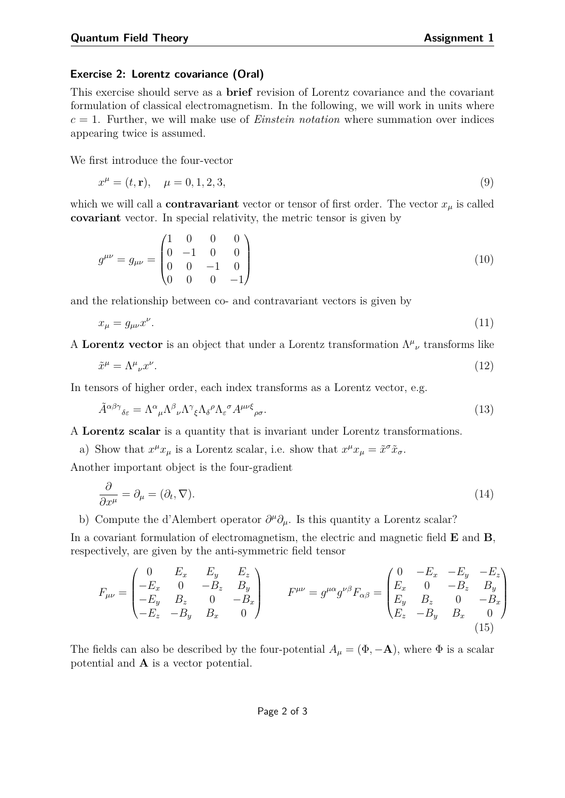## **Exercise 2: Lorentz covariance (Oral)**

This exercise should serve as a **brief** revision of Lorentz covariance and the covariant formulation of classical electromagnetism. In the following, we will work in units where *c* = 1. Further, we will make use of *Einstein notation* where summation over indices appearing twice is assumed.

We first introduce the four-vector

$$
x^{\mu} = (t, \mathbf{r}), \quad \mu = 0, 1, 2, 3,
$$
\n<sup>(9)</sup>

which we will call a **contravariant** vector or tensor of first order. The vector  $x<sub>u</sub>$  is called **covariant** vector. In special relativity, the metric tensor is given by

$$
g^{\mu\nu} = g_{\mu\nu} = \begin{pmatrix} 1 & 0 & 0 & 0 \\ 0 & -1 & 0 & 0 \\ 0 & 0 & -1 & 0 \\ 0 & 0 & 0 & -1 \end{pmatrix}
$$
 (10)

and the relationship between co- and contravariant vectors is given by

$$
x_{\mu} = g_{\mu\nu} x^{\nu}.
$$
\n<sup>(11)</sup>

A **Lorentz vector** is an object that under a Lorentz transformation  $\Lambda^{\mu}{}_{\nu}$  transforms like

$$
\tilde{x}^{\mu} = \Lambda^{\mu}{}_{\nu} x^{\nu}.
$$
\n<sup>(12)</sup>

In tensors of higher order, each index transforms as a Lorentz vector, e.g.

$$
\tilde{A}^{\alpha\beta\gamma}{}_{\delta\varepsilon} = \Lambda^{\alpha}{}_{\mu} \Lambda^{\beta}{}_{\nu} \Lambda^{\gamma}{}_{\xi} \Lambda_{\delta}{}^{\rho} \Lambda_{\varepsilon}{}^{\sigma} A^{\mu\nu\xi}{}_{\rho\sigma}.
$$
\n(13)

A **Lorentz scalar** is a quantity that is invariant under Lorentz transformations.

a) Show that  $x^{\mu}x_{\mu}$  is a Lorentz scalar, i.e. show that  $x^{\mu}x_{\mu} = \tilde{x}^{\sigma}\tilde{x}_{\sigma}$ .

Another important object is the four-gradient

$$
\frac{\partial}{\partial x^{\mu}} = \partial_{\mu} = (\partial_t, \nabla). \tag{14}
$$

b) Compute the d'Alembert operator  $\partial^{\mu}\partial_{\mu}$ . Is this quantity a Lorentz scalar?

In a covariant formulation of electromagnetism, the electric and magnetic field **E** and **B**, respectively, are given by the anti-symmetric field tensor

$$
F_{\mu\nu} = \begin{pmatrix} 0 & E_x & E_y & E_z \\ -E_x & 0 & -B_z & B_y \\ -E_y & B_z & 0 & -B_x \\ -E_z & -B_y & B_x & 0 \end{pmatrix} \qquad F^{\mu\nu} = g^{\mu\alpha}g^{\nu\beta}F_{\alpha\beta} = \begin{pmatrix} 0 & -E_x & -E_y & -E_z \\ E_x & 0 & -B_z & B_y \\ E_y & B_z & 0 & -B_x \\ E_z & -B_y & B_x & 0 \end{pmatrix}
$$
(15)

The fields can also be described by the four-potential  $A_\mu = (\Phi, -\mathbf{A})$ , where  $\Phi$  is a scalar potential and **A** is a vector potential.